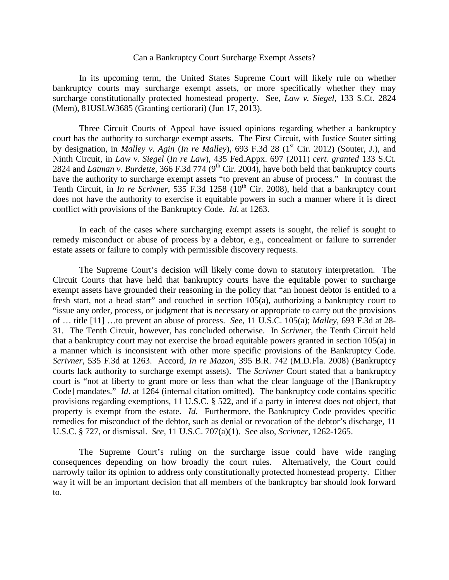## Can a Bankruptcy Court Surcharge Exempt Assets?

In its upcoming term, the United States Supreme Court will likely rule on whether bankruptcy courts may surcharge exempt assets, or more specifically whether they may surcharge constitutionally protected homestead property. See, *Law v. Siegel*, 133 S.Ct. 2824 (Mem), 81USLW3685 (Granting certiorari) (Jun 17, 2013).

Three Circuit Courts of Appeal have issued opinions regarding whether a bankruptcy court has the authority to surcharge exempt assets. The First Circuit, with Justice Souter sitting by designation, in *Malley v. Agin* (*In re Malley*), 693 F.3d 28 (1<sup>st</sup> Cir. 2012) (Souter, J.), and Ninth Circuit, in *Law v. Siegel* (*In re Law*), 435 Fed.Appx. 697 (2011) *cert. granted* 133 S.Ct. 2824 and *Latman v. Burdette*, 366 F.3d 774 (9<sup>th</sup> Cir. 2004), have both held that bankruptcy courts have the authority to surcharge exempt assets "to prevent an abuse of process." In contrast the Tenth Circuit, in *In re Scrivner*, 535 F.3d 1258 (10<sup>th</sup> Cir. 2008), held that a bankruptcy court does not have the authority to exercise it equitable powers in such a manner where it is direct conflict with provisions of the Bankruptcy Code. *Id*. at 1263.

In each of the cases where surcharging exempt assets is sought, the relief is sought to remedy misconduct or abuse of process by a debtor, e.g., concealment or failure to surrender estate assets or failure to comply with permissible discovery requests.

The Supreme Court's decision will likely come down to statutory interpretation. The Circuit Courts that have held that bankruptcy courts have the equitable power to surcharge exempt assets have grounded their reasoning in the policy that "an honest debtor is entitled to a fresh start, not a head start" and couched in section 105(a), authorizing a bankruptcy court to "issue any order, process, or judgment that is necessary or appropriate to carry out the provisions of … title [11] …to prevent an abuse of process. *See*, 11 U.S.C. 105(a); *Malley*, 693 F.3d at 28- 31. The Tenth Circuit, however, has concluded otherwise. In *Scrivner*, the Tenth Circuit held that a bankruptcy court may not exercise the broad equitable powers granted in section 105(a) in a manner which is inconsistent with other more specific provisions of the Bankruptcy Code. *Scrivner*, 535 F.3d at 1263. Accord, *In re Mazon*, 395 B.R. 742 (M.D.Fla. 2008) (Bankruptcy courts lack authority to surcharge exempt assets). The *Scrivner* Court stated that a bankruptcy court is "not at liberty to grant more or less than what the clear language of the [Bankruptcy Code] mandates." *Id.* at 1264 (internal citation omitted). The bankruptcy code contains specific provisions regarding exemptions, 11 U.S.C. § 522, and if a party in interest does not object, that property is exempt from the estate. *Id*. Furthermore, the Bankruptcy Code provides specific remedies for misconduct of the debtor, such as denial or revocation of the debtor's discharge, 11 U.S.C. § 727, or dismissal. *See*, 11 U.S.C. 707(a)(1). See also, *Scrivner*, 1262-1265.

The Supreme Court's ruling on the surcharge issue could have wide ranging consequences depending on how broadly the court rules. Alternatively, the Court could narrowly tailor its opinion to address only constitutionally protected homestead property. Either way it will be an important decision that all members of the bankruptcy bar should look forward to.